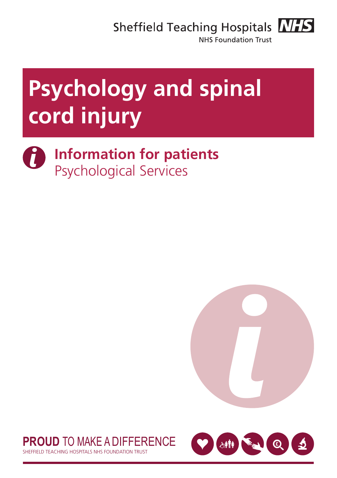Sheffield Teaching Hospitals **NHS** 



**NHS Foundation Trust** 

# **Psychology and spinal cord injury**

0 **Information for patients** Psychological Services





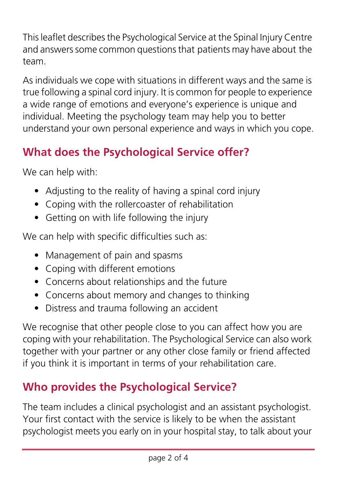This leaflet describes the Psychological Service at the Spinal Injury Centre and answers some common questions that patients may have about the team.

As individuals we cope with situations in different ways and the same is true following a spinal cord injury. It is common for people to experience a wide range of emotions and everyone's experience is unique and individual. Meeting the psychology team may help you to better understand your own personal experience and ways in which you cope.

## **What does the Psychological Service offer?**

We can help with:

- Adjusting to the reality of having a spinal cord injury
- Coping with the rollercoaster of rehabilitation
- Getting on with life following the injury

We can help with specific difficulties such as:

- Management of pain and spasms
- Coping with different emotions
- Concerns about relationships and the future
- Concerns about memory and changes to thinking
- Distress and trauma following an accident

We recognise that other people close to you can affect how you are coping with your rehabilitation. The Psychological Service can also work together with your partner or any other close family or friend affected if you think it is important in terms of your rehabilitation care.

### **Who provides the Psychological Service?**

The team includes a clinical psychologist and an assistant psychologist. Your first contact with the service is likely to be when the assistant psychologist meets you early on in your hospital stay, to talk about your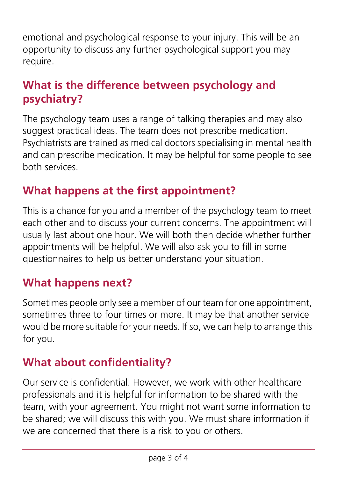emotional and psychological response to your injury. This will be an opportunity to discuss any further psychological support you may require.

#### **What is the difference between psychology and psychiatry?**

The psychology team uses a range of talking therapies and may also suggest practical ideas. The team does not prescribe medication. Psychiatrists are trained as medical doctors specialising in mental health and can prescribe medication. It may be helpful for some people to see both services.

#### **What happens at the first appointment?**

This is a chance for you and a member of the psychology team to meet each other and to discuss your current concerns. The appointment will usually last about one hour. We will both then decide whether further appointments will be helpful. We will also ask you to fill in some questionnaires to help us better understand your situation.

#### **What happens next?**

Sometimes people only see a member of our team for one appointment, sometimes three to four times or more. It may be that another service would be more suitable for your needs. If so, we can help to arrange this for you.

### **What about confidentiality?**

Our service is confidential. However, we work with other healthcare professionals and it is helpful for information to be shared with the team, with your agreement. You might not want some information to be shared; we will discuss this with you. We must share information if we are concerned that there is a risk to you or others.